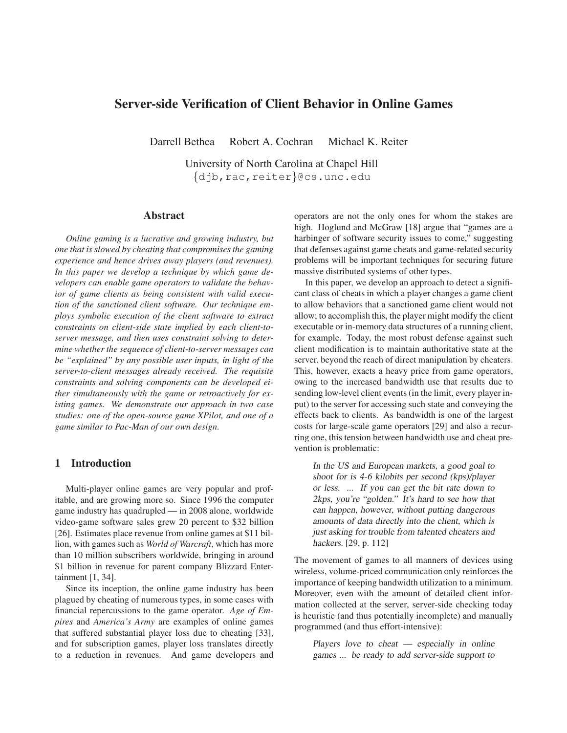# **Server-side Verification of Client Behavior in Online Games**

Darrell Bethea Robert A. Cochran Michael K. Reiter

University of North Carolina at Chapel Hill {djb,rac,reiter}@cs.unc.edu

### **Abstract**

*Online gaming is a lucrative and growing industry, but one that is slowed by cheating that compromises the gaming experience and hence drives away players (and revenues). In this paper we develop a technique by which game developers can enable game operators to validate the behavior of game clients as being consistent with valid execution of the sanctioned client software. Our technique employs symbolic execution of the client software to extract constraints on client-side state implied by each client-toserver message, and then uses constraint solving to determine whether the sequence of client-to-server messages can be "explained" by any possible user inputs, in light of the server-to-client messages already received. The requisite constraints and solving components can be developed either simultaneously with the game or retroactively for existing games. We demonstrate our approach in two case studies: one of the open-source game XPilot, and one of a game similar to Pac-Man of our own design.*

### **1 Introduction**

Multi-player online games are very popular and profitable, and are growing more so. Since 1996 the computer game industry has quadrupled — in 2008 alone, worldwide video-game software sales grew 20 percent to \$32 billion [26]. Estimates place revenue from online games at \$11 billion, with games such as *World of Warcraft*, which has more than 10 million subscribers worldwide, bringing in around \$1 billion in revenue for parent company Blizzard Entertainment [1, 34].

Since its inception, the online game industry has been plagued by cheating of numerous types, in some cases with financial repercussions to the game operator. *Age of Empires* and *America's Army* are examples of online games that suffered substantial player loss due to cheating [33], and for subscription games, player loss translates directly to a reduction in revenues. And game developers and

operators are not the only ones for whom the stakes are high. Hoglund and McGraw [18] argue that "games are a harbinger of software security issues to come," suggesting that defenses against game cheats and game-related security problems will be important techniques for securing future massive distributed systems of other types.

In this paper, we develop an approach to detect a significant class of cheats in which a player changes a game client to allow behaviors that a sanctioned game client would not allow; to accomplish this, the player might modify the client executable or in-memory data structures of a running client, for example. Today, the most robust defense against such client modification is to maintain authoritative state at the server, beyond the reach of direct manipulation by cheaters. This, however, exacts a heavy price from game operators, owing to the increased bandwidth use that results due to sending low-level client events (in the limit, every player input) to the server for accessing such state and conveying the effects back to clients. As bandwidth is one of the largest costs for large-scale game operators [29] and also a recurring one, this tension between bandwidth use and cheat prevention is problematic:

In the US and European markets, <sup>a</sup> good goal to shoot for is 4-6 kilobits per second (kps)/player or less. ... If you can get the bit rate down to 2kps, you're "golden." It's hard to see how that can happen, however, without putting dangerous amounts of data directly into the client, which is just asking for trouble from talented cheaters and hackers. [29, p. 112]

The movement of games to all manners of devices using wireless, volume-priced communication only reinforces the importance of keeping bandwidth utilization to a minimum. Moreover, even with the amount of detailed client information collected at the server, server-side checking today is heuristic (and thus potentially incomplete) and manually programmed (and thus effort-intensive):

Players love to cheat — especially in online games ... be ready to add server-side support to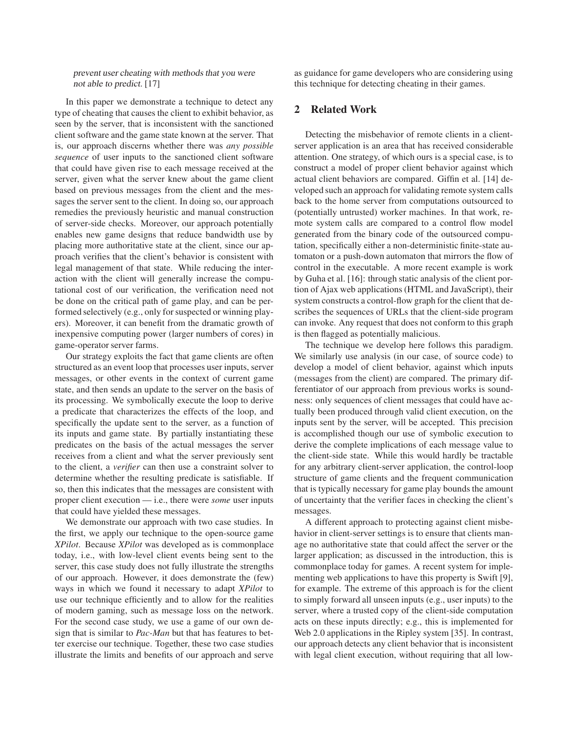prevent user cheating with methods that you were not able to predict. [17]

In this paper we demonstrate a technique to detect any type of cheating that causes the client to exhibit behavior, as seen by the server, that is inconsistent with the sanctioned client software and the game state known at the server. That is, our approach discerns whether there was *any possible sequence* of user inputs to the sanctioned client software that could have given rise to each message received at the server, given what the server knew about the game client based on previous messages from the client and the messages the server sent to the client. In doing so, our approach remedies the previously heuristic and manual construction of server-side checks. Moreover, our approach potentially enables new game designs that reduce bandwidth use by placing more authoritative state at the client, since our approach verifies that the client's behavior is consistent with legal management of that state. While reducing the interaction with the client will generally increase the computational cost of our verification, the verification need not be done on the critical path of game play, and can be performed selectively (e.g., only for suspected or winning players). Moreover, it can benefit from the dramatic growth of inexpensive computing power (larger numbers of cores) in game-operator server farms.

Our strategy exploits the fact that game clients are often structured as an event loop that processes user inputs, server messages, or other events in the context of current game state, and then sends an update to the server on the basis of its processing. We symbolically execute the loop to derive a predicate that characterizes the effects of the loop, and specifically the update sent to the server, as a function of its inputs and game state. By partially instantiating these predicates on the basis of the actual messages the server receives from a client and what the server previously sent to the client, a *verifier* can then use a constraint solver to determine whether the resulting predicate is satisfiable. If so, then this indicates that the messages are consistent with proper client execution — i.e., there were *some* user inputs that could have yielded these messages.

We demonstrate our approach with two case studies. In the first, we apply our technique to the open-source game *XPilot*. Because *XPilot* was developed as is commonplace today, i.e., with low-level client events being sent to the server, this case study does not fully illustrate the strengths of our approach. However, it does demonstrate the (few) ways in which we found it necessary to adapt *XPilot* to use our technique efficiently and to allow for the realities of modern gaming, such as message loss on the network. For the second case study, we use a game of our own design that is similar to *Pac-Man* but that has features to better exercise our technique. Together, these two case studies illustrate the limits and benefits of our approach and serve

as guidance for game developers who are considering using this technique for detecting cheating in their games.

# **2 Related Work**

Detecting the misbehavior of remote clients in a clientserver application is an area that has received considerable attention. One strategy, of which ours is a special case, is to construct a model of proper client behavior against which actual client behaviors are compared. Giffin et al. [14] developed such an approach for validating remote system calls back to the home server from computations outsourced to (potentially untrusted) worker machines. In that work, remote system calls are compared to a control flow model generated from the binary code of the outsourced computation, specifically either a non-deterministic finite-state automaton or a push-down automaton that mirrors the flow of control in the executable. A more recent example is work by Guha et al. [16]: through static analysis of the client portion of Ajax web applications (HTML and JavaScript), their system constructs a control-flow graph for the client that describes the sequences of URLs that the client-side program can invoke. Any request that does not conform to this graph is then flagged as potentially malicious.

The technique we develop here follows this paradigm. We similarly use analysis (in our case, of source code) to develop a model of client behavior, against which inputs (messages from the client) are compared. The primary differentiator of our approach from previous works is soundness: only sequences of client messages that could have actually been produced through valid client execution, on the inputs sent by the server, will be accepted. This precision is accomplished though our use of symbolic execution to derive the complete implications of each message value to the client-side state. While this would hardly be tractable for any arbitrary client-server application, the control-loop structure of game clients and the frequent communication that is typically necessary for game play bounds the amount of uncertainty that the verifier faces in checking the client's messages.

A different approach to protecting against client misbehavior in client-server settings is to ensure that clients manage no authoritative state that could affect the server or the larger application; as discussed in the introduction, this is commonplace today for games. A recent system for implementing web applications to have this property is Swift [9], for example. The extreme of this approach is for the client to simply forward all unseen inputs (e.g., user inputs) to the server, where a trusted copy of the client-side computation acts on these inputs directly; e.g., this is implemented for Web 2.0 applications in the Ripley system [35]. In contrast, our approach detects any client behavior that is inconsistent with legal client execution, without requiring that all low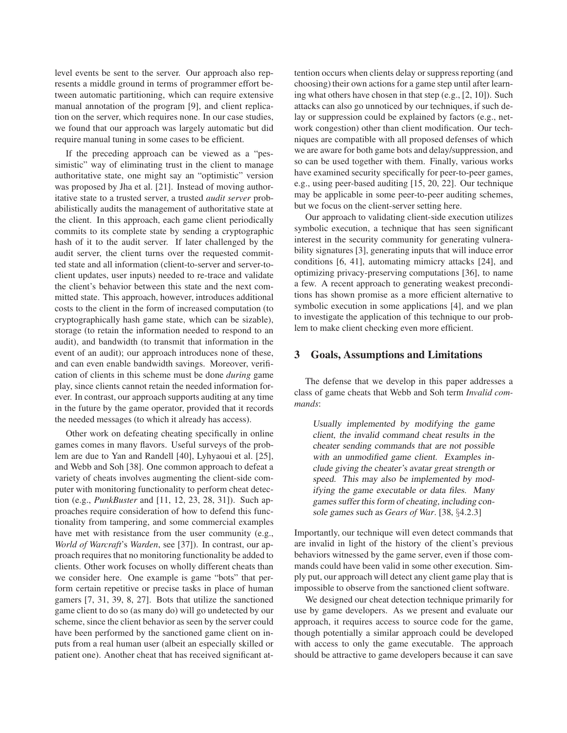level events be sent to the server. Our approach also represents a middle ground in terms of programmer effort between automatic partitioning, which can require extensive manual annotation of the program [9], and client replication on the server, which requires none. In our case studies, we found that our approach was largely automatic but did require manual tuning in some cases to be efficient.

If the preceding approach can be viewed as a "pessimistic" way of eliminating trust in the client to manage authoritative state, one might say an "optimistic" version was proposed by Jha et al. [21]. Instead of moving authoritative state to a trusted server, a trusted *audit server* probabilistically audits the management of authoritative state at the client. In this approach, each game client periodically commits to its complete state by sending a cryptographic hash of it to the audit server. If later challenged by the audit server, the client turns over the requested committed state and all information (client-to-server and server-toclient updates, user inputs) needed to re-trace and validate the client's behavior between this state and the next committed state. This approach, however, introduces additional costs to the client in the form of increased computation (to cryptographically hash game state, which can be sizable), storage (to retain the information needed to respond to an audit), and bandwidth (to transmit that information in the event of an audit); our approach introduces none of these, and can even enable bandwidth savings. Moreover, verification of clients in this scheme must be done *during* game play, since clients cannot retain the needed information forever. In contrast, our approach supports auditing at any time in the future by the game operator, provided that it records the needed messages (to which it already has access).

Other work on defeating cheating specifically in online games comes in many flavors. Useful surveys of the problem are due to Yan and Randell [40], Lyhyaoui et al. [25], and Webb and Soh [38]. One common approach to defeat a variety of cheats involves augmenting the client-side computer with monitoring functionality to perform cheat detection (e.g., *PunkBuster* and [11, 12, 23, 28, 31]). Such approaches require consideration of how to defend this functionality from tampering, and some commercial examples have met with resistance from the user community (e.g., *World of Warcraft*'s *Warden*, see [37]). In contrast, our approach requires that no monitoring functionality be added to clients. Other work focuses on wholly different cheats than we consider here. One example is game "bots" that perform certain repetitive or precise tasks in place of human gamers [7, 31, 39, 8, 27]. Bots that utilize the sanctioned game client to do so (as many do) will go undetected by our scheme, since the client behavior as seen by the server could have been performed by the sanctioned game client on inputs from a real human user (albeit an especially skilled or patient one). Another cheat that has received significant attention occurs when clients delay or suppress reporting (and choosing) their own actions for a game step until after learning what others have chosen in that step (e.g., [2, 10]). Such attacks can also go unnoticed by our techniques, if such delay or suppression could be explained by factors (e.g., network congestion) other than client modification. Our techniques are compatible with all proposed defenses of which we are aware for both game bots and delay/suppression, and so can be used together with them. Finally, various works have examined security specifically for peer-to-peer games, e.g., using peer-based auditing [15, 20, 22]. Our technique may be applicable in some peer-to-peer auditing schemes, but we focus on the client-server setting here.

Our approach to validating client-side execution utilizes symbolic execution, a technique that has seen significant interest in the security community for generating vulnerability signatures [3], generating inputs that will induce error conditions [6, 41], automating mimicry attacks [24], and optimizing privacy-preserving computations [36], to name a few. A recent approach to generating weakest preconditions has shown promise as a more efficient alternative to symbolic execution in some applications [4], and we plan to investigate the application of this technique to our problem to make client checking even more efficient.

### **3 Goals, Assumptions and Limitations**

The defense that we develop in this paper addresses a class of game cheats that Webb and Soh term *Invalid commands*:

Usually implemented by modifying the game client, the invalid command cheat results in the cheater sending commands that are not possible with an unmodified game client. Examples include giving the cheater's avatar great strength or speed. This may also be implemented by modifying the game executable or data files. Many games suffer this form of cheating, including console games such as *Gears of War*. [38, §4.2.3]

Importantly, our technique will even detect commands that are invalid in light of the history of the client's previous behaviors witnessed by the game server, even if those commands could have been valid in some other execution. Simply put, our approach will detect any client game play that is impossible to observe from the sanctioned client software.

We designed our cheat detection technique primarily for use by game developers. As we present and evaluate our approach, it requires access to source code for the game, though potentially a similar approach could be developed with access to only the game executable. The approach should be attractive to game developers because it can save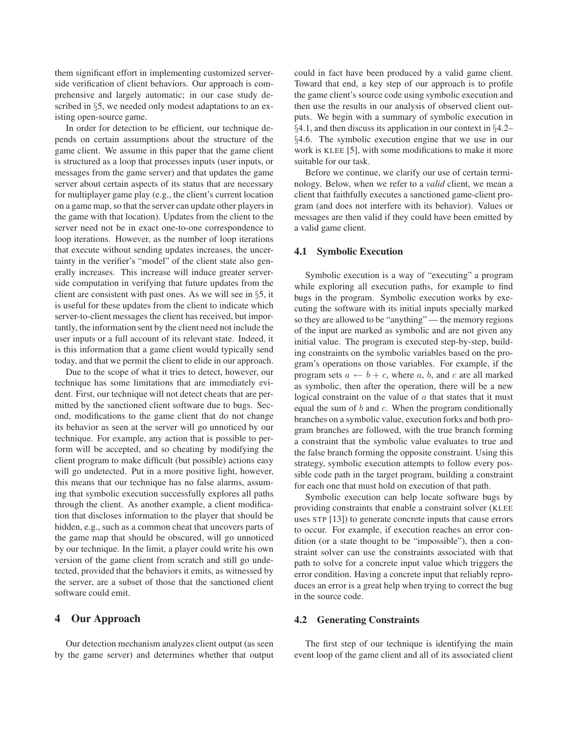them significant effort in implementing customized serverside verification of client behaviors. Our approach is comprehensive and largely automatic; in our case study described in §5, we needed only modest adaptations to an existing open-source game.

In order for detection to be efficient, our technique depends on certain assumptions about the structure of the game client. We assume in this paper that the game client is structured as a loop that processes inputs (user inputs, or messages from the game server) and that updates the game server about certain aspects of its status that are necessary for multiplayer game play (e.g., the client's current location on a game map, so that the server can update other players in the game with that location). Updates from the client to the server need not be in exact one-to-one correspondence to loop iterations. However, as the number of loop iterations that execute without sending updates increases, the uncertainty in the verifier's "model" of the client state also generally increases. This increase will induce greater serverside computation in verifying that future updates from the client are consistent with past ones. As we will see in §5, it is useful for these updates from the client to indicate which server-to-client messages the client has received, but importantly, the information sent by the client need not include the user inputs or a full account of its relevant state. Indeed, it is this information that a game client would typically send today, and that we permit the client to elide in our approach.

Due to the scope of what it tries to detect, however, our technique has some limitations that are immediately evident. First, our technique will not detect cheats that are permitted by the sanctioned client software due to bugs. Second, modifications to the game client that do not change its behavior as seen at the server will go unnoticed by our technique. For example, any action that is possible to perform will be accepted, and so cheating by modifying the client program to make difficult (but possible) actions easy will go undetected. Put in a more positive light, however, this means that our technique has no false alarms, assuming that symbolic execution successfully explores all paths through the client. As another example, a client modification that discloses information to the player that should be hidden, e.g., such as a common cheat that uncovers parts of the game map that should be obscured, will go unnoticed by our technique. In the limit, a player could write his own version of the game client from scratch and still go undetected, provided that the behaviors it emits, as witnessed by the server, are a subset of those that the sanctioned client software could emit.

### **4 Our Approach**

Our detection mechanism analyzes client output (as seen by the game server) and determines whether that output

could in fact have been produced by a valid game client. Toward that end, a key step of our approach is to profile the game client's source code using symbolic execution and then use the results in our analysis of observed client outputs. We begin with a summary of symbolic execution in §4.1, and then discuss its application in our context in §4.2– §4.6. The symbolic execution engine that we use in our work is KLEE [5], with some modifications to make it more suitable for our task.

Before we continue, we clarify our use of certain terminology. Below, when we refer to a *valid* client, we mean a client that faithfully executes a sanctioned game-client program (and does not interfere with its behavior). Values or messages are then valid if they could have been emitted by a valid game client.

#### **4.1 Symbolic Execution**

Symbolic execution is a way of "executing" a program while exploring all execution paths, for example to find bugs in the program. Symbolic execution works by executing the software with its initial inputs specially marked so they are allowed to be "anything" — the memory regions of the input are marked as symbolic and are not given any initial value. The program is executed step-by-step, building constraints on the symbolic variables based on the program's operations on those variables. For example, if the program sets  $a \leftarrow b + c$ , where a, b, and c are all marked as symbolic, then after the operation, there will be a new logical constraint on the value of  $a$  that states that it must equal the sum of  $b$  and  $c$ . When the program conditionally branches on a symbolic value, execution forks and both program branches are followed, with the true branch forming a constraint that the symbolic value evaluates to true and the false branch forming the opposite constraint. Using this strategy, symbolic execution attempts to follow every possible code path in the target program, building a constraint for each one that must hold on execution of that path.

Symbolic execution can help locate software bugs by providing constraints that enable a constraint solver (KLEE uses STP [13]) to generate concrete inputs that cause errors to occur. For example, if execution reaches an error condition (or a state thought to be "impossible"), then a constraint solver can use the constraints associated with that path to solve for a concrete input value which triggers the error condition. Having a concrete input that reliably reproduces an error is a great help when trying to correct the bug in the source code.

# **4.2 Generating Constraints**

The first step of our technique is identifying the main event loop of the game client and all of its associated client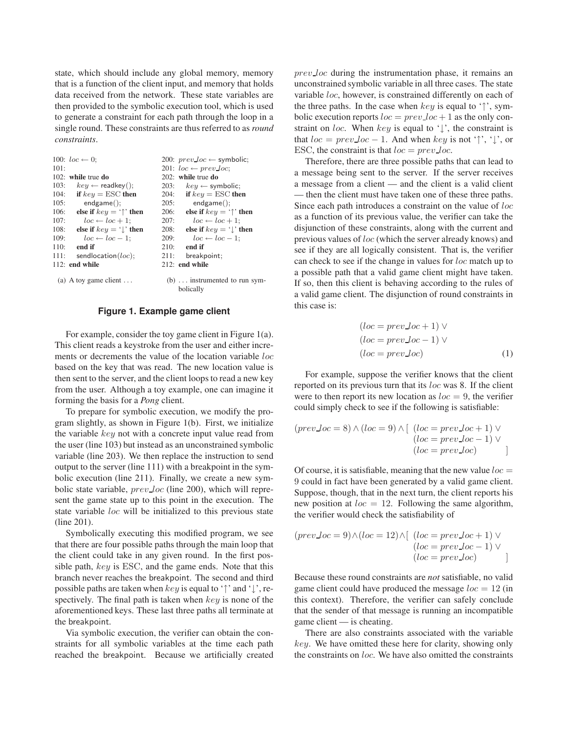state, which should include any global memory, memory that is a function of the client input, and memory that holds data received from the network. These state variables are then provided to the symbolic execution tool, which is used to generate a constraint for each path through the loop in a single round. These constraints are thus referred to as *round constraints*.

```
100: loc \leftarrow 0;
101:
102: while true do
103: key \leftarrow \text{readkey}();
104: if key = ESC then<br>105: endgame();
           endgame();
106: else if key = \uparrow \uparrow then
107: loc \leftarrow loc + 1;108: else if key = '↓' then
109: loc \leftarrow loc - 1;110: end if
111: sendlocation(loc);
112: end while
 (a) A toy game client . . .
                                        200: prev\_loc \leftarrow symbolic;
                                        201: loc \leftarrow prevLoc;202: while true do
                                        203: key \leftarrow symbolic;
                                        204: if key = ESC then<br>205: endgame();
                                                   endgame();
                                        206: else if key = \uparrow \uparrow then
                                        207: loc \leftarrow loc + 1;208: else if key = \downarrow then
                                        209: loc \leftarrow loc - 1;210: end if
                                       211: breakpoint;
                                        212: end while
                                         (b) . . . instrumented to run sym-
                                              bolically
```
#### **Figure 1. Example game client**

For example, consider the toy game client in Figure 1(a). This client reads a keystroke from the user and either increments or decrements the value of the location variable loc based on the key that was read. The new location value is then sent to the server, and the client loops to read a new key from the user. Although a toy example, one can imagine it forming the basis for a *Pong* client.

To prepare for symbolic execution, we modify the program slightly, as shown in Figure 1(b). First, we initialize the variable  $key$  not with a concrete input value read from the user (line 103) but instead as an unconstrained symbolic variable (line 203). We then replace the instruction to send output to the server (line 111) with a breakpoint in the symbolic execution (line 211). Finally, we create a new symbolic state variable, *prev\_loc* (line 200), which will represent the game state up to this point in the execution. The state variable loc will be initialized to this previous state (line 201).

Symbolically executing this modified program, we see that there are four possible paths through the main loop that the client could take in any given round. In the first possible path,  $key$  is ESC, and the game ends. Note that this branch never reaches the breakpoint. The second and third possible paths are taken when  $key$  is equal to ' $\uparrow$ ' and ' $\downarrow$ ', respectively. The final path is taken when  $key$  is none of the aforementioned keys. These last three paths all terminate at the breakpoint.

Via symbolic execution, the verifier can obtain the constraints for all symbolic variables at the time each path reached the breakpoint. Because we artificially created prev loc during the instrumentation phase, it remains an unconstrained symbolic variable in all three cases. The state variable loc, however, is constrained differently on each of the three paths. In the case when  $key$  is equal to ' $\uparrow$ ', symbolic execution reports  $loc = prev\_loc + 1$  as the only constraint on *loc*. When key is equal to  $\downarrow$ , the constraint is that  $loc = prev\_loc - 1$ . And when  $key$  is not ' $\uparrow$ ', ' $\downarrow$ ', or ESC, the constraint is that  $loc = prev\_loc$ .

Therefore, there are three possible paths that can lead to a message being sent to the server. If the server receives a message from a client — and the client is a valid client — then the client must have taken one of these three paths. Since each path introduces a constraint on the value of loc as a function of its previous value, the verifier can take the disjunction of these constraints, along with the current and previous values of loc (which the server already knows) and see if they are all logically consistent. That is, the verifier can check to see if the change in values for loc match up to a possible path that a valid game client might have taken. If so, then this client is behaving according to the rules of a valid game client. The disjunction of round constraints in this case is:

$$
(loc = prev\_loc + 1) \vee
$$
  
\n
$$
(loc = prev\_loc - 1) \vee
$$
  
\n
$$
(loc = prev\_loc)
$$
 (1)

For example, suppose the verifier knows that the client reported on its previous turn that its loc was 8. If the client were to then report its new location as  $loc = 9$ , the verifier could simply check to see if the following is satisfiable:

$$
(prev\_loc = 8) \land (loc = 9) \land [(loc = prev\_loc + 1) \lor (loc = prev\_loc - 1) \lor (loc = prev\_loc - 1) \lor (loc = prev\_loc)
$$

Of course, it is satisfiable, meaning that the new value  $loc =$ 9 could in fact have been generated by a valid game client. Suppose, though, that in the next turn, the client reports his new position at  $loc = 12$ . Following the same algorithm, the verifier would check the satisfiability of

$$
(prev\_loc = 9) \land (loc = 12) \land [(loc = prev\_loc + 1) \lor (loc = prev\_loc - 1) \lor (loc = prev\_loc)
$$
)

Because these round constraints are *not* satisfiable, no valid game client could have produced the message  $loc = 12$  (in this context). Therefore, the verifier can safely conclude that the sender of that message is running an incompatible game client — is cheating.

There are also constraints associated with the variable key. We have omitted these here for clarity, showing only the constraints on loc. We have also omitted the constraints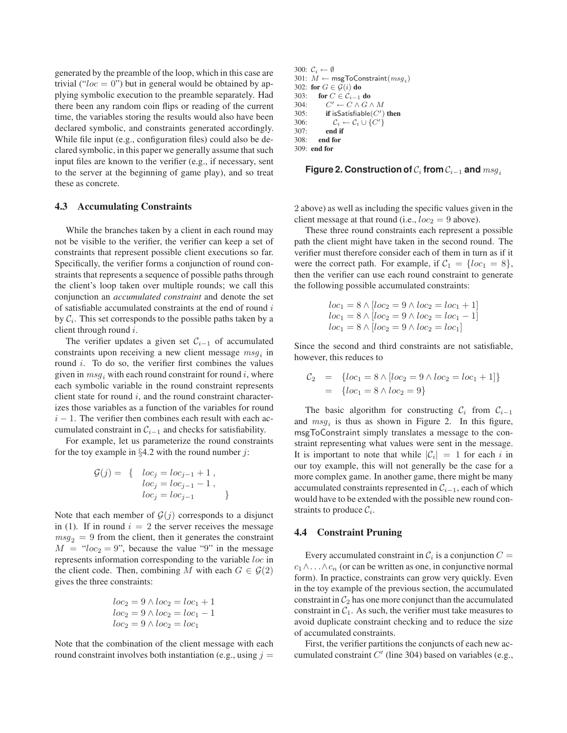generated by the preamble of the loop, which in this case are trivial (" $loc = 0$ ") but in general would be obtained by applying symbolic execution to the preamble separately. Had there been any random coin flips or reading of the current time, the variables storing the results would also have been declared symbolic, and constraints generated accordingly. While file input (e.g., configuration files) could also be declared symbolic, in this paper we generally assume that such input files are known to the verifier (e.g., if necessary, sent to the server at the beginning of game play), and so treat these as concrete.

#### **4.3 Accumulating Constraints**

While the branches taken by a client in each round may not be visible to the verifier, the verifier can keep a set of constraints that represent possible client executions so far. Specifically, the verifier forms a conjunction of round constraints that represents a sequence of possible paths through the client's loop taken over multiple rounds; we call this conjunction an *accumulated constraint* and denote the set of satisfiable accumulated constraints at the end of round i by  $C_i$ . This set corresponds to the possible paths taken by a client through round  $i$ .

The verifier updates a given set  $C_{i-1}$  of accumulated constraints upon receiving a new client message  $msg_i$  in round  $i$ . To do so, the verifier first combines the values given in  $msg_i$  with each round constraint for round i, where each symbolic variable in the round constraint represents client state for round  $i$ , and the round constraint characterizes those variables as a function of the variables for round  $i - 1$ . The verifier then combines each result with each accumulated constraint in  $C_{i-1}$  and checks for satisfiability.

For example, let us parameterize the round constraints for the toy example in  $\S 4.2$  with the round number j:

$$
\mathcal{G}(j) = \{ \begin{array}{c} loc_j = loc_{j-1} + 1, \\ loc_j = loc_{j-1} - 1, \\ loc_j = loc_{j-1} \end{array} \}
$$

Note that each member of  $\mathcal{G}(j)$  corresponds to a disjunct in (1). If in round  $i = 2$  the server receives the message  $msg_2 = 9$  from the client, then it generates the constraint  $M = "loc<sub>2</sub> = 9",$  because the value "9" in the message represents information corresponding to the variable loc in the client code. Then, combining M with each  $G \in \mathcal{G}(2)$ gives the three constraints:

$$
loc2 = 9 \land loc2 = loc1 + 1
$$
  

$$
loc2 = 9 \land loc2 = loc1 - 1
$$
  

$$
loc2 = 9 \land loc2 = loc1
$$

Note that the combination of the client message with each round constraint involves both instantiation (e.g., using  $j =$ 

300:  $\mathcal{C}_i \leftarrow \emptyset$ 301:  $M \leftarrow \text{msgToConstraint}(msg_i)$ 302: **for**  $G \in \mathcal{G}(i)$  **do** 303: **for** C ∈ Ci−1 **do** 304:  $C' \leftarrow C \land G \land M$ <br>305: **if** isSatisfiable(*C'*) 305: **if** isSatisfiable(C′ ) **then** 306:  $\mathcal{C}_i \leftarrow \mathcal{C}_i \cup \{C'\}$ 307: **end if** 308: **end for** 309: **end for**

**Figure 2. Construction of**  $C_i$  **from**  $C_{i-1}$  **and**  $msg_i$ 

2 above) as well as including the specific values given in the client message at that round (i.e.,  $loc_2 = 9$  above).

These three round constraints each represent a possible path the client might have taken in the second round. The verifier must therefore consider each of them in turn as if it were the correct path. For example, if  $C_1 = \{loc_1 = 8\},\$ then the verifier can use each round constraint to generate the following possible accumulated constraints:

> $loc_1 = 8 \wedge [loc_2 = 9 \wedge loc_2 = loc_1 + 1]$  $loc_1 = 8 \wedge [loc_2 = 9 \wedge loc_2 = loc_1 - 1]$  $loc_1 = 8 \wedge [loc_2 = 9 \wedge loc_2 = loc_1]$

Since the second and third constraints are not satisfiable, however, this reduces to

$$
C_2 = \{loc_1 = 8 \land [loc_2 = 9 \land loc_2 = loc_1 + 1]\}
$$
  
=  $\{loc_1 = 8 \land loc_2 = 9\}$ 

The basic algorithm for constructing  $C_i$  from  $C_{i-1}$ and  $msg_i$  is thus as shown in Figure 2. In this figure, msgToConstraint simply translates a message to the constraint representing what values were sent in the message. It is important to note that while  $|\mathcal{C}_i| = 1$  for each i in our toy example, this will not generally be the case for a more complex game. In another game, there might be many accumulated constraints represented in  $C_{i-1}$ , each of which would have to be extended with the possible new round constraints to produce  $C_i$ .

#### **4.4 Constraint Pruning**

Every accumulated constraint in  $\mathcal{C}_i$  is a conjunction  $C =$  $c_1 \wedge \ldots \wedge c_n$  (or can be written as one, in conjunctive normal form). In practice, constraints can grow very quickly. Even in the toy example of the previous section, the accumulated constraint in  $C_2$  has one more conjunct than the accumulated constraint in  $C_1$ . As such, the verifier must take measures to avoid duplicate constraint checking and to reduce the size of accumulated constraints.

First, the verifier partitions the conjuncts of each new accumulated constraint  $C'$  (line 304) based on variables (e.g.,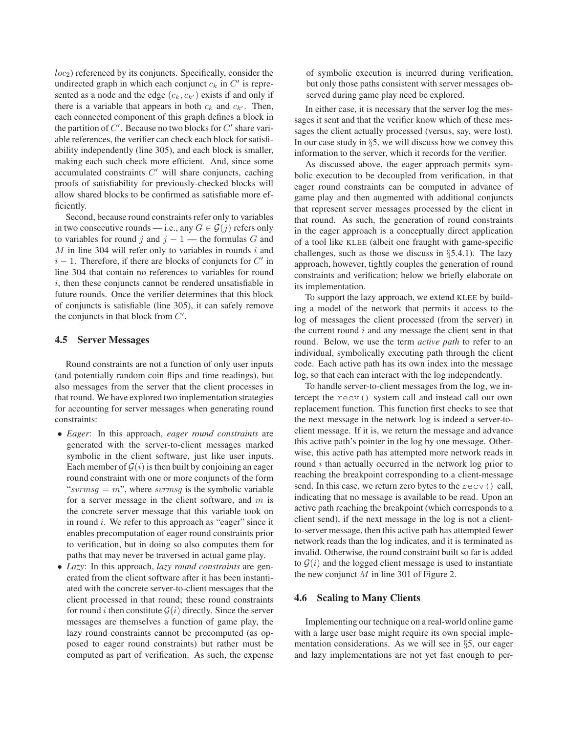$loc_2$ ) referenced by its conjuncts. Specifically, consider the undirected graph in which each conjunct  $c_k$  in  $C'$  is represented as a node and the edge  $(c_k, c_{k'})$  exists if and only if there is a variable that appears in both  $c_k$  and  $c_{k'}$ . Then, each connected component of this graph defines a block in the partition of  $C'$ . Because no two blocks for  $C'$  share variable references, the verifier can check each block for satisfiability independently (line 305), and each block is smaller, making each such check more efficient. And, since some accumulated constraints  $C'$  will share conjuncts, caching proofs of satisfiability for previously-checked blocks will allow shared blocks to be confirmed as satisfiable more efficiently.

Second, because round constraints refer only to variables in two consecutive rounds — i.e., any  $G \in \mathcal{G}(j)$  refers only to variables for round j and  $j - 1$  — the formulas G and  $M$  in line 304 will refer only to variables in rounds  $i$  and  $i - 1$ . Therefore, if there are blocks of conjuncts for  $C'$  in line 304 that contain no references to variables for round i, then these conjuncts cannot be rendered unsatisfiable in future rounds. Once the verifier determines that this block of conjuncts is satisfiable (line 305), it can safely remove the conjuncts in that block from  $C'$ .

#### **4.5 Server Messages**

Round constraints are not a function of only user inputs (and potentially random coin flips and time readings), but also messages from the server that the client processes in that round. We have explored two implementation strategies for accounting for server messages when generating round constraints:

- *Eager*: In this approach, *eager round constraints* are generated with the server-to-client messages marked symbolic in the client software, just like user inputs. Each member of  $\mathcal{G}(i)$  is then built by conjoining an eager round constraint with one or more conjuncts of the form "svrmsg =  $m$ ", where svrmsg is the symbolic variable for a server message in the client software, and  $m$  is the concrete server message that this variable took on in round *i*. We refer to this approach as "eager" since it enables precomputation of eager round constraints prior to verification, but in doing so also computes them for paths that may never be traversed in actual game play.
- *Lazy*: In this approach, *lazy round constraints* are generated from the client software after it has been instantiated with the concrete server-to-client messages that the client processed in that round; these round constraints for round *i* then constitute  $\mathcal{G}(i)$  directly. Since the server messages are themselves a function of game play, the lazy round constraints cannot be precomputed (as opposed to eager round constraints) but rather must be computed as part of verification. As such, the expense

of symbolic execution is incurred during verification, but only those paths consistent with server messages observed during game play need be explored.

In either case, it is necessary that the server log the messages it sent and that the verifier know which of these messages the client actually processed (versus, say, were lost). In our case study in §5, we will discuss how we convey this information to the server, which it records for the verifier.

As discussed above, the eager approach permits symbolic execution to be decoupled from verification, in that eager round constraints can be computed in advance of game play and then augmented with additional conjuncts that represent server messages processed by the client in that round. As such, the generation of round constraints in the eager approach is a conceptually direct application of a tool like KLEE (albeit one fraught with game-specific challenges, such as those we discuss in §5.4.1). The lazy approach, however, tightly couples the generation of round constraints and verification; below we briefly elaborate on its implementation.

To support the lazy approach, we extend KLEE by building a model of the network that permits it access to the log of messages the client processed (from the server) in the current round  $i$  and any message the client sent in that round. Below, we use the term *active path* to refer to an individual, symbolically executing path through the client code. Each active path has its own index into the message log, so that each can interact with the log independently.

To handle server-to-client messages from the log, we intercept the recv() system call and instead call our own replacement function. This function first checks to see that the next message in the network log is indeed a server-toclient message. If it is, we return the message and advance this active path's pointer in the log by one message. Otherwise, this active path has attempted more network reads in round *i* than actually occurred in the network log prior to reaching the breakpoint corresponding to a client-message send. In this case, we return zero bytes to the recv() call, indicating that no message is available to be read. Upon an active path reaching the breakpoint (which corresponds to a client send), if the next message in the log is not a clientto-server message, then this active path has attempted fewer network reads than the log indicates, and it is terminated as invalid. Otherwise, the round constraint built so far is added to  $G(i)$  and the logged client message is used to instantiate the new conjunct  $M$  in line 301 of Figure 2.

#### **4.6 Scaling to Many Clients**

Implementing our technique on a real-world online game with a large user base might require its own special implementation considerations. As we will see in §5, our eager and lazy implementations are not yet fast enough to per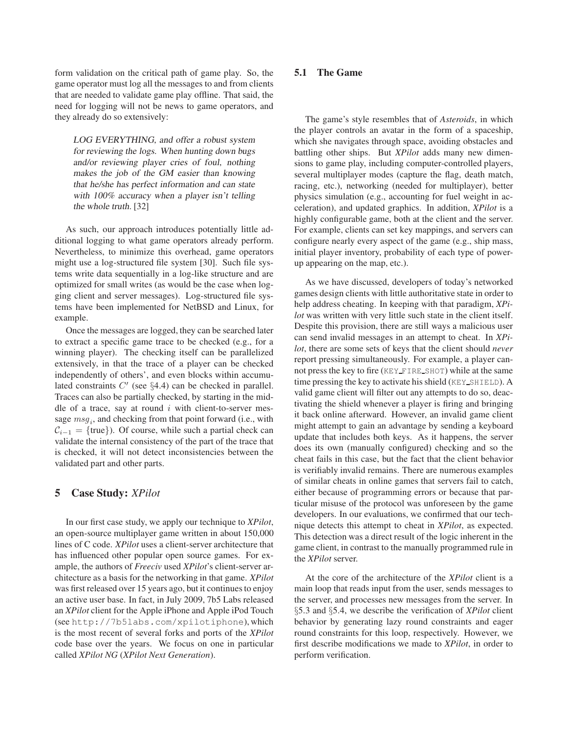form validation on the critical path of game play. So, the game operator must log all the messages to and from clients that are needed to validate game play offline. That said, the need for logging will not be news to game operators, and they already do so extensively:

LOG EVERYTHING, and offer <sup>a</sup> robust system for reviewing the logs. When hunting down bugs and/or reviewing player cries of foul, nothing makes the job of the GM easier than knowing that he/she has perfect information and can state with 100% accuracy when a player isn't telling the whole truth. [32]

As such, our approach introduces potentially little additional logging to what game operators already perform. Nevertheless, to minimize this overhead, game operators might use a log-structured file system [30]. Such file systems write data sequentially in a log-like structure and are optimized for small writes (as would be the case when logging client and server messages). Log-structured file systems have been implemented for NetBSD and Linux, for example.

Once the messages are logged, they can be searched later to extract a specific game trace to be checked (e.g., for a winning player). The checking itself can be parallelized extensively, in that the trace of a player can be checked independently of others', and even blocks within accumulated constraints  $C'$  (see §4.4) can be checked in parallel. Traces can also be partially checked, by starting in the middle of a trace, say at round  $i$  with client-to-server message  $msg_i$ , and checking from that point forward (i.e., with  $C_{i-1} = \{true\}$ ). Of course, while such a partial check can validate the internal consistency of the part of the trace that is checked, it will not detect inconsistencies between the validated part and other parts.

### **5 Case Study:** *XPilot*

In our first case study, we apply our technique to *XPilot*, an open-source multiplayer game written in about 150,000 lines of C code. *XPilot* uses a client-server architecture that has influenced other popular open source games. For example, the authors of *Freeciv* used *XPilot*'s client-server architecture as a basis for the networking in that game. *XPilot* was first released over 15 years ago, but it continues to enjoy an active user base. In fact, in July 2009, 7b5 Labs released an *XPilot* client for the Apple iPhone and Apple iPod Touch (see http://7b5labs.com/xpilotiphone), which is the most recent of several forks and ports of the *XPilot* code base over the years. We focus on one in particular called *XPilot NG* (*XPilot Next Generation*).

### **5.1 The Game**

The game's style resembles that of *Asteroids*, in which the player controls an avatar in the form of a spaceship, which she navigates through space, avoiding obstacles and battling other ships. But *XPilot* adds many new dimensions to game play, including computer-controlled players, several multiplayer modes (capture the flag, death match, racing, etc.), networking (needed for multiplayer), better physics simulation (e.g., accounting for fuel weight in acceleration), and updated graphics. In addition, *XPilot* is a highly configurable game, both at the client and the server. For example, clients can set key mappings, and servers can configure nearly every aspect of the game (e.g., ship mass, initial player inventory, probability of each type of powerup appearing on the map, etc.).

As we have discussed, developers of today's networked games design clients with little authoritative state in order to help address cheating. In keeping with that paradigm, *XPilot* was written with very little such state in the client itself. Despite this provision, there are still ways a malicious user can send invalid messages in an attempt to cheat. In *XPilot*, there are some sets of keys that the client should *never* report pressing simultaneously. For example, a player cannot press the key to fire (KEY FIRE SHOT) while at the same time pressing the key to activate his shield (KEY SHIELD). A valid game client will filter out any attempts to do so, deactivating the shield whenever a player is firing and bringing it back online afterward. However, an invalid game client might attempt to gain an advantage by sending a keyboard update that includes both keys. As it happens, the server does its own (manually configured) checking and so the cheat fails in this case, but the fact that the client behavior is verifiably invalid remains. There are numerous examples of similar cheats in online games that servers fail to catch, either because of programming errors or because that particular misuse of the protocol was unforeseen by the game developers. In our evaluations, we confirmed that our technique detects this attempt to cheat in *XPilot*, as expected. This detection was a direct result of the logic inherent in the game client, in contrast to the manually programmed rule in the *XPilot* server.

At the core of the architecture of the *XPilot* client is a main loop that reads input from the user, sends messages to the server, and processes new messages from the server. In §5.3 and §5.4, we describe the verification of *XPilot* client behavior by generating lazy round constraints and eager round constraints for this loop, respectively. However, we first describe modifications we made to *XPilot*, in order to perform verification.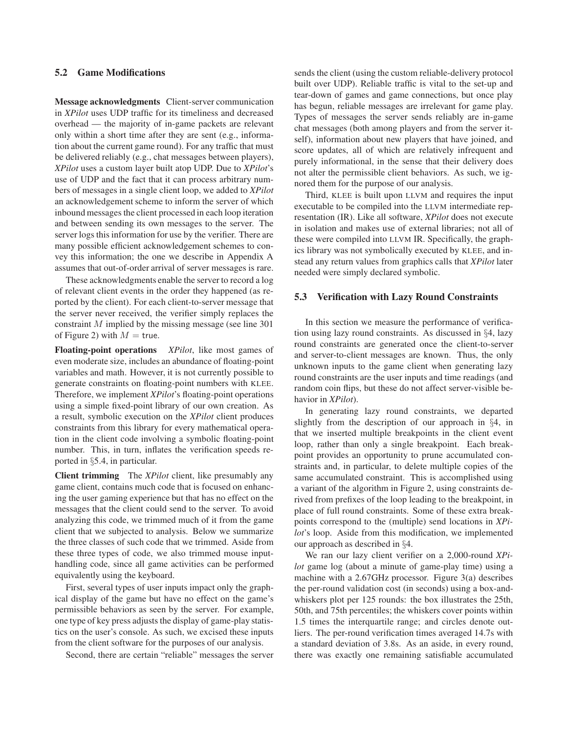### **5.2 Game Modifications**

**Message acknowledgments** Client-server communication in *XPilot* uses UDP traffic for its timeliness and decreased overhead — the majority of in-game packets are relevant only within a short time after they are sent (e.g., information about the current game round). For any traffic that must be delivered reliably (e.g., chat messages between players), *XPilot* uses a custom layer built atop UDP. Due to *XPilot*'s use of UDP and the fact that it can process arbitrary numbers of messages in a single client loop, we added to *XPilot* an acknowledgement scheme to inform the server of which inbound messages the client processed in each loop iteration and between sending its own messages to the server. The server logs this information for use by the verifier. There are many possible efficient acknowledgement schemes to convey this information; the one we describe in Appendix A assumes that out-of-order arrival of server messages is rare.

These acknowledgments enable the server to record a log of relevant client events in the order they happened (as reported by the client). For each client-to-server message that the server never received, the verifier simply replaces the constraint M implied by the missing message (see line 301 of Figure 2) with  $M =$  true.

**Floating-point operations** *XPilot*, like most games of even moderate size, includes an abundance of floating-point variables and math. However, it is not currently possible to generate constraints on floating-point numbers with KLEE. Therefore, we implement *XPilot*'s floating-point operations using a simple fixed-point library of our own creation. As a result, symbolic execution on the *XPilot* client produces constraints from this library for every mathematical operation in the client code involving a symbolic floating-point number. This, in turn, inflates the verification speeds reported in §5.4, in particular.

**Client trimming** The *XPilot* client, like presumably any game client, contains much code that is focused on enhancing the user gaming experience but that has no effect on the messages that the client could send to the server. To avoid analyzing this code, we trimmed much of it from the game client that we subjected to analysis. Below we summarize the three classes of such code that we trimmed. Aside from these three types of code, we also trimmed mouse inputhandling code, since all game activities can be performed equivalently using the keyboard.

First, several types of user inputs impact only the graphical display of the game but have no effect on the game's permissible behaviors as seen by the server. For example, one type of key press adjusts the display of game-play statistics on the user's console. As such, we excised these inputs from the client software for the purposes of our analysis.

Second, there are certain "reliable" messages the server

sends the client (using the custom reliable-delivery protocol built over UDP). Reliable traffic is vital to the set-up and tear-down of games and game connections, but once play has begun, reliable messages are irrelevant for game play. Types of messages the server sends reliably are in-game chat messages (both among players and from the server itself), information about new players that have joined, and score updates, all of which are relatively infrequent and purely informational, in the sense that their delivery does not alter the permissible client behaviors. As such, we ignored them for the purpose of our analysis.

Third, KLEE is built upon LLVM and requires the input executable to be compiled into the LLVM intermediate representation (IR). Like all software, *XPilot* does not execute in isolation and makes use of external libraries; not all of these were compiled into LLVM IR. Specifically, the graphics library was not symbolically executed by KLEE, and instead any return values from graphics calls that *XPilot* later needed were simply declared symbolic.

#### **5.3 Verification with Lazy Round Constraints**

In this section we measure the performance of verification using lazy round constraints. As discussed in §4, lazy round constraints are generated once the client-to-server and server-to-client messages are known. Thus, the only unknown inputs to the game client when generating lazy round constraints are the user inputs and time readings (and random coin flips, but these do not affect server-visible behavior in *XPilot*).

In generating lazy round constraints, we departed slightly from the description of our approach in §4, in that we inserted multiple breakpoints in the client event loop, rather than only a single breakpoint. Each breakpoint provides an opportunity to prune accumulated constraints and, in particular, to delete multiple copies of the same accumulated constraint. This is accomplished using a variant of the algorithm in Figure 2, using constraints derived from prefixes of the loop leading to the breakpoint, in place of full round constraints. Some of these extra breakpoints correspond to the (multiple) send locations in *XPilot*'s loop. Aside from this modification, we implemented our approach as described in §4.

We ran our lazy client verifier on a 2,000-round *XPilot* game log (about a minute of game-play time) using a machine with a 2.67GHz processor. Figure 3(a) describes the per-round validation cost (in seconds) using a box-andwhiskers plot per 125 rounds: the box illustrates the 25th, 50th, and 75th percentiles; the whiskers cover points within 1.5 times the interquartile range; and circles denote outliers. The per-round verification times averaged 14.7s with a standard deviation of 3.8s. As an aside, in every round, there was exactly one remaining satisfiable accumulated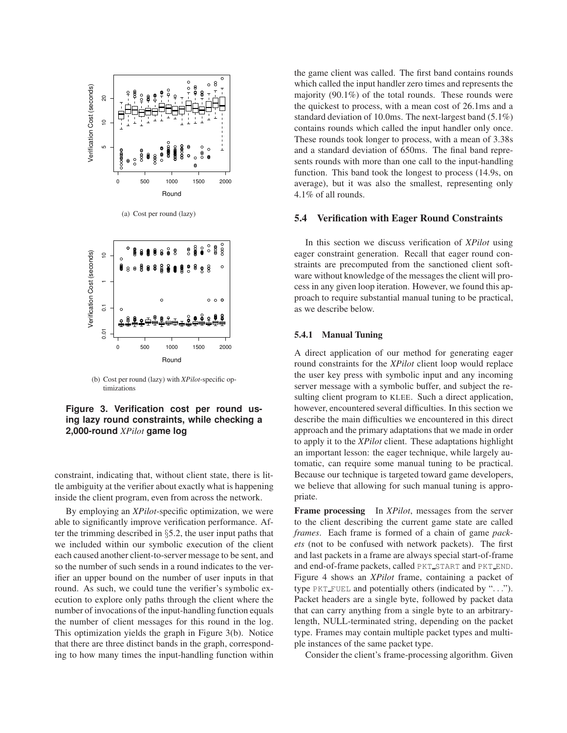

(a) Cost per round (lazy)



(b) Cost per round (lazy) with *XPilot*-specific optimizations

**Figure 3. Verification cost per round using lazy round constraints, while checking a 2,000-round** *XPilot* **game log**

constraint, indicating that, without client state, there is little ambiguity at the verifier about exactly what is happening inside the client program, even from across the network.

By employing an *XPilot*-specific optimization, we were able to significantly improve verification performance. After the trimming described in §5.2, the user input paths that we included within our symbolic execution of the client each caused another client-to-server message to be sent, and so the number of such sends in a round indicates to the verifier an upper bound on the number of user inputs in that round. As such, we could tune the verifier's symbolic execution to explore only paths through the client where the number of invocations of the input-handling function equals the number of client messages for this round in the log. This optimization yields the graph in Figure 3(b). Notice that there are three distinct bands in the graph, corresponding to how many times the input-handling function within

the game client was called. The first band contains rounds which called the input handler zero times and represents the majority (90.1%) of the total rounds. These rounds were the quickest to process, with a mean cost of 26.1ms and a standard deviation of 10.0ms. The next-largest band (5.1%) contains rounds which called the input handler only once. These rounds took longer to process, with a mean of 3.38s and a standard deviation of 650ms. The final band represents rounds with more than one call to the input-handling function. This band took the longest to process (14.9s, on average), but it was also the smallest, representing only 4.1% of all rounds.

#### **5.4 Verification with Eager Round Constraints**

In this section we discuss verification of *XPilot* using eager constraint generation. Recall that eager round constraints are precomputed from the sanctioned client software without knowledge of the messages the client will process in any given loop iteration. However, we found this approach to require substantial manual tuning to be practical, as we describe below.

#### **5.4.1 Manual Tuning**

A direct application of our method for generating eager round constraints for the *XPilot* client loop would replace the user key press with symbolic input and any incoming server message with a symbolic buffer, and subject the resulting client program to KLEE. Such a direct application, however, encountered several difficulties. In this section we describe the main difficulties we encountered in this direct approach and the primary adaptations that we made in order to apply it to the *XPilot* client. These adaptations highlight an important lesson: the eager technique, while largely automatic, can require some manual tuning to be practical. Because our technique is targeted toward game developers, we believe that allowing for such manual tuning is appropriate.

**Frame processing** In *XPilot*, messages from the server to the client describing the current game state are called *frames*. Each frame is formed of a chain of game *packets* (not to be confused with network packets). The first and last packets in a frame are always special start-of-frame and end-of-frame packets, called PKT START and PKT END. Figure 4 shows an *XPilot* frame, containing a packet of type PKT FUEL and potentially others (indicated by ". . ."). Packet headers are a single byte, followed by packet data that can carry anything from a single byte to an arbitrarylength, NULL-terminated string, depending on the packet type. Frames may contain multiple packet types and multiple instances of the same packet type.

Consider the client's frame-processing algorithm. Given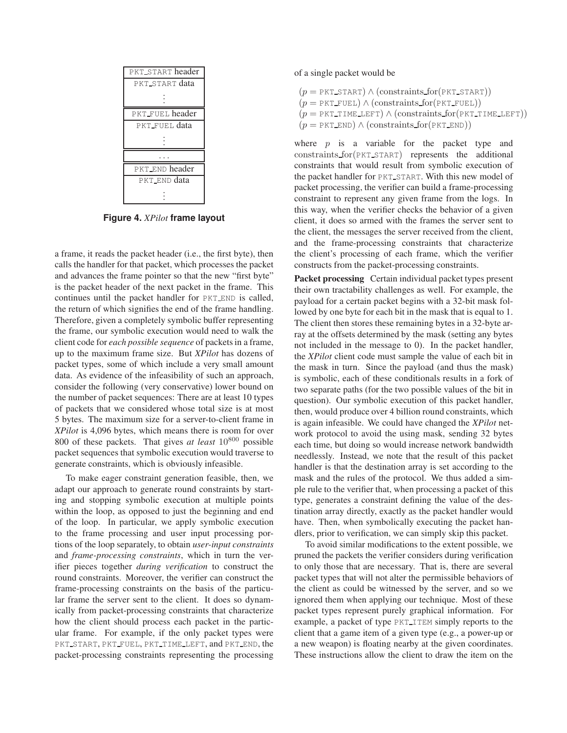

**Figure 4.** *XPilot* **frame layout**

a frame, it reads the packet header (i.e., the first byte), then calls the handler for that packet, which processes the packet and advances the frame pointer so that the new "first byte" is the packet header of the next packet in the frame. This continues until the packet handler for PKT END is called, the return of which signifies the end of the frame handling. Therefore, given a completely symbolic buffer representing the frame, our symbolic execution would need to walk the client code for *each possible sequence* of packets in a frame, up to the maximum frame size. But *XPilot* has dozens of packet types, some of which include a very small amount data. As evidence of the infeasibility of such an approach, consider the following (very conservative) lower bound on the number of packet sequences: There are at least 10 types of packets that we considered whose total size is at most 5 bytes. The maximum size for a server-to-client frame in *XPilot* is 4,096 bytes, which means there is room for over 800 of these packets. That gives *at least*  $10^{800}$  possible packet sequences that symbolic execution would traverse to generate constraints, which is obviously infeasible.

To make eager constraint generation feasible, then, we adapt our approach to generate round constraints by starting and stopping symbolic execution at multiple points within the loop, as opposed to just the beginning and end of the loop. In particular, we apply symbolic execution to the frame processing and user input processing portions of the loop separately, to obtain *user-input constraints* and *frame-processing constraints*, which in turn the verifier pieces together *during verification* to construct the round constraints. Moreover, the verifier can construct the frame-processing constraints on the basis of the particular frame the server sent to the client. It does so dynamically from packet-processing constraints that characterize how the client should process each packet in the particular frame. For example, if the only packet types were PKT START, PKT FUEL, PKT TIME LEFT, and PKT END, the packet-processing constraints representing the processing of a single packet would be

```
(p = \text{PKT\_START}) \wedge (constraints_ for (PKT\_START))(p = \text{PKT_FUEL}) \wedge (constraints_for(\text{PKT_FUEL}))(p = \text{PKT\_TIME\_LEFT}) \wedge (constraints_ for (PKT\_TIME\_LEFT))(p = \text{PKT\_END}) \wedge (constraints\_for(\text{PKT\_END}))
```
where  $p$  is a variable for the packet type and constraints for(PKT START) represents the additional constraints that would result from symbolic execution of the packet handler for PKT START. With this new model of packet processing, the verifier can build a frame-processing constraint to represent any given frame from the logs. In this way, when the verifier checks the behavior of a given client, it does so armed with the frames the server sent to the client, the messages the server received from the client, and the frame-processing constraints that characterize the client's processing of each frame, which the verifier constructs from the packet-processing constraints.

**Packet processing** Certain individual packet types present their own tractability challenges as well. For example, the payload for a certain packet begins with a 32-bit mask followed by one byte for each bit in the mask that is equal to 1. The client then stores these remaining bytes in a 32-byte array at the offsets determined by the mask (setting any bytes not included in the message to 0). In the packet handler, the *XPilot* client code must sample the value of each bit in the mask in turn. Since the payload (and thus the mask) is symbolic, each of these conditionals results in a fork of two separate paths (for the two possible values of the bit in question). Our symbolic execution of this packet handler, then, would produce over 4 billion round constraints, which is again infeasible. We could have changed the *XPilot* network protocol to avoid the using mask, sending 32 bytes each time, but doing so would increase network bandwidth needlessly. Instead, we note that the result of this packet handler is that the destination array is set according to the mask and the rules of the protocol. We thus added a simple rule to the verifier that, when processing a packet of this type, generates a constraint defining the value of the destination array directly, exactly as the packet handler would have. Then, when symbolically executing the packet handlers, prior to verification, we can simply skip this packet.

To avoid similar modifications to the extent possible, we pruned the packets the verifier considers during verification to only those that are necessary. That is, there are several packet types that will not alter the permissible behaviors of the client as could be witnessed by the server, and so we ignored them when applying our technique. Most of these packet types represent purely graphical information. For example, a packet of type PKT ITEM simply reports to the client that a game item of a given type (e.g., a power-up or a new weapon) is floating nearby at the given coordinates. These instructions allow the client to draw the item on the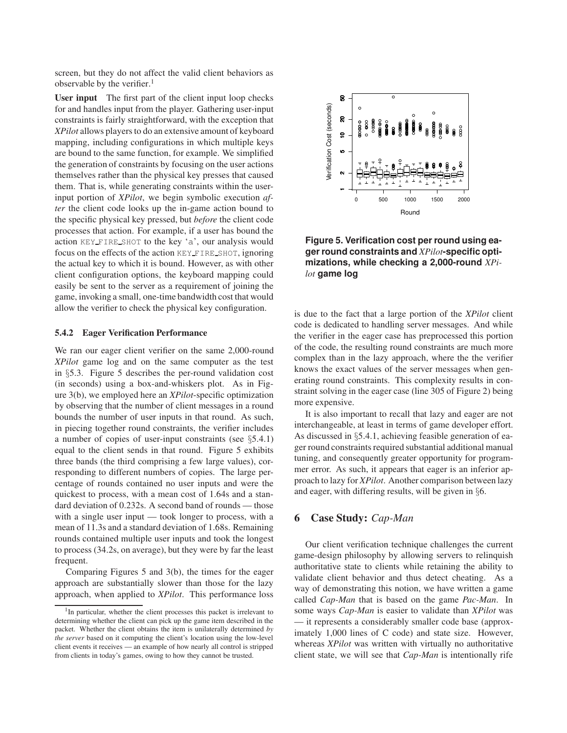screen, but they do not affect the valid client behaviors as observable by the verifier.<sup>1</sup>

**User input** The first part of the client input loop checks for and handles input from the player. Gathering user-input constraints is fairly straightforward, with the exception that *XPilot* allows players to do an extensive amount of keyboard mapping, including configurations in which multiple keys are bound to the same function, for example. We simplified the generation of constraints by focusing on the user actions themselves rather than the physical key presses that caused them. That is, while generating constraints within the userinput portion of *XPilot*, we begin symbolic execution *after* the client code looks up the in-game action bound to the specific physical key pressed, but *before* the client code processes that action. For example, if a user has bound the action KEY FIRE SHOT to the key 'a', our analysis would focus on the effects of the action KEY FIRE SHOT, ignoring the actual key to which it is bound. However, as with other client configuration options, the keyboard mapping could easily be sent to the server as a requirement of joining the game, invoking a small, one-time bandwidth cost that would allow the verifier to check the physical key configuration.

#### **5.4.2 Eager Verification Performance**

We ran our eager client verifier on the same 2,000-round *XPilot* game log and on the same computer as the test in §5.3. Figure 5 describes the per-round validation cost (in seconds) using a box-and-whiskers plot. As in Figure 3(b), we employed here an *XPilot*-specific optimization by observing that the number of client messages in a round bounds the number of user inputs in that round. As such, in piecing together round constraints, the verifier includes a number of copies of user-input constraints (see  $\S 5.4.1$ ) equal to the client sends in that round. Figure 5 exhibits three bands (the third comprising a few large values), corresponding to different numbers of copies. The large percentage of rounds contained no user inputs and were the quickest to process, with a mean cost of 1.64s and a standard deviation of 0.232s. A second band of rounds — those with a single user input — took longer to process, with a mean of 11.3s and a standard deviation of 1.68s. Remaining rounds contained multiple user inputs and took the longest to process (34.2s, on average), but they were by far the least frequent.

Comparing Figures 5 and 3(b), the times for the eager approach are substantially slower than those for the lazy approach, when applied to *XPilot*. This performance loss



**Figure 5. Verification cost per round using eager round constraints and** *XPilot***-specific optimizations, while checking a 2,000-round** *XPilot* **game log**

is due to the fact that a large portion of the *XPilot* client code is dedicated to handling server messages. And while the verifier in the eager case has preprocessed this portion of the code, the resulting round constraints are much more complex than in the lazy approach, where the the verifier knows the exact values of the server messages when generating round constraints. This complexity results in constraint solving in the eager case (line 305 of Figure 2) being more expensive.

It is also important to recall that lazy and eager are not interchangeable, at least in terms of game developer effort. As discussed in §5.4.1, achieving feasible generation of eager round constraints required substantial additional manual tuning, and consequently greater opportunity for programmer error. As such, it appears that eager is an inferior approach to lazy for *XPilot*. Another comparison between lazy and eager, with differing results, will be given in §6.

### **6 Case Study:** *Cap-Man*

Our client verification technique challenges the current game-design philosophy by allowing servers to relinquish authoritative state to clients while retaining the ability to validate client behavior and thus detect cheating. As a way of demonstrating this notion, we have written a game called *Cap-Man* that is based on the game *Pac-Man*. In some ways *Cap-Man* is easier to validate than *XPilot* was — it represents a considerably smaller code base (approximately 1,000 lines of C code) and state size. However, whereas *XPilot* was written with virtually no authoritative client state, we will see that *Cap-Man* is intentionally rife

<sup>&</sup>lt;sup>1</sup>In particular, whether the client processes this packet is irrelevant to determining whether the client can pick up the game item described in the packet. Whether the client obtains the item is unilaterally determined *by the server* based on it computing the client's location using the low-level client events it receives — an example of how nearly all control is stripped from clients in today's games, owing to how they cannot be trusted.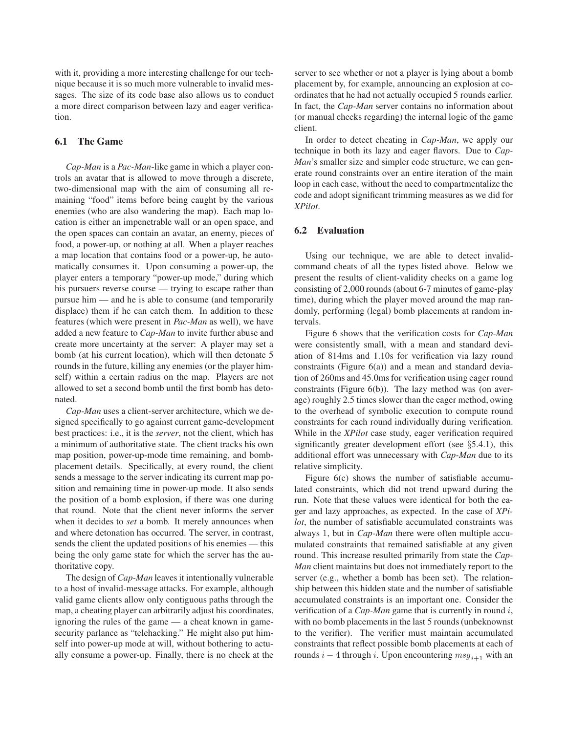with it, providing a more interesting challenge for our technique because it is so much more vulnerable to invalid messages. The size of its code base also allows us to conduct a more direct comparison between lazy and eager verification.

### **6.1 The Game**

*Cap-Man* is a *Pac-Man*-like game in which a player controls an avatar that is allowed to move through a discrete, two-dimensional map with the aim of consuming all remaining "food" items before being caught by the various enemies (who are also wandering the map). Each map location is either an impenetrable wall or an open space, and the open spaces can contain an avatar, an enemy, pieces of food, a power-up, or nothing at all. When a player reaches a map location that contains food or a power-up, he automatically consumes it. Upon consuming a power-up, the player enters a temporary "power-up mode," during which his pursuers reverse course — trying to escape rather than pursue him — and he is able to consume (and temporarily displace) them if he can catch them. In addition to these features (which were present in *Pac-Man* as well), we have added a new feature to *Cap-Man* to invite further abuse and create more uncertainty at the server: A player may set a bomb (at his current location), which will then detonate 5 rounds in the future, killing any enemies (or the player himself) within a certain radius on the map. Players are not allowed to set a second bomb until the first bomb has detonated.

*Cap-Man* uses a client-server architecture, which we designed specifically to go against current game-development best practices: i.e., it is the *server*, not the client, which has a minimum of authoritative state. The client tracks his own map position, power-up-mode time remaining, and bombplacement details. Specifically, at every round, the client sends a message to the server indicating its current map position and remaining time in power-up mode. It also sends the position of a bomb explosion, if there was one during that round. Note that the client never informs the server when it decides to *set* a bomb. It merely announces when and where detonation has occurred. The server, in contrast, sends the client the updated positions of his enemies — this being the only game state for which the server has the authoritative copy.

The design of *Cap-Man* leaves it intentionally vulnerable to a host of invalid-message attacks. For example, although valid game clients allow only contiguous paths through the map, a cheating player can arbitrarily adjust his coordinates, ignoring the rules of the game — a cheat known in gamesecurity parlance as "telehacking." He might also put himself into power-up mode at will, without bothering to actually consume a power-up. Finally, there is no check at the

server to see whether or not a player is lying about a bomb placement by, for example, announcing an explosion at coordinates that he had not actually occupied 5 rounds earlier. In fact, the *Cap-Man* server contains no information about (or manual checks regarding) the internal logic of the game client.

In order to detect cheating in *Cap-Man*, we apply our technique in both its lazy and eager flavors. Due to *Cap-Man*'s smaller size and simpler code structure, we can generate round constraints over an entire iteration of the main loop in each case, without the need to compartmentalize the code and adopt significant trimming measures as we did for *XPilot*.

### **6.2 Evaluation**

Using our technique, we are able to detect invalidcommand cheats of all the types listed above. Below we present the results of client-validity checks on a game log consisting of 2,000 rounds (about 6-7 minutes of game-play time), during which the player moved around the map randomly, performing (legal) bomb placements at random intervals.

Figure 6 shows that the verification costs for *Cap-Man* were consistently small, with a mean and standard deviation of 814ms and 1.10s for verification via lazy round constraints (Figure  $6(a)$ ) and a mean and standard deviation of 260ms and 45.0ms for verification using eager round constraints (Figure 6(b)). The lazy method was (on average) roughly 2.5 times slower than the eager method, owing to the overhead of symbolic execution to compute round constraints for each round individually during verification. While in the *XPilot* case study, eager verification required significantly greater development effort (see §5.4.1), this additional effort was unnecessary with *Cap-Man* due to its relative simplicity.

Figure 6(c) shows the number of satisfiable accumulated constraints, which did not trend upward during the run. Note that these values were identical for both the eager and lazy approaches, as expected. In the case of *XPilot*, the number of satisfiable accumulated constraints was always 1, but in *Cap-Man* there were often multiple accumulated constraints that remained satisfiable at any given round. This increase resulted primarily from state the *Cap-Man* client maintains but does not immediately report to the server (e.g., whether a bomb has been set). The relationship between this hidden state and the number of satisfiable accumulated constraints is an important one. Consider the verification of a *Cap-Man* game that is currently in round i, with no bomb placements in the last 5 rounds (unbeknownst to the verifier). The verifier must maintain accumulated constraints that reflect possible bomb placements at each of rounds  $i - 4$  through i. Upon encountering  $msg_{i+1}$  with an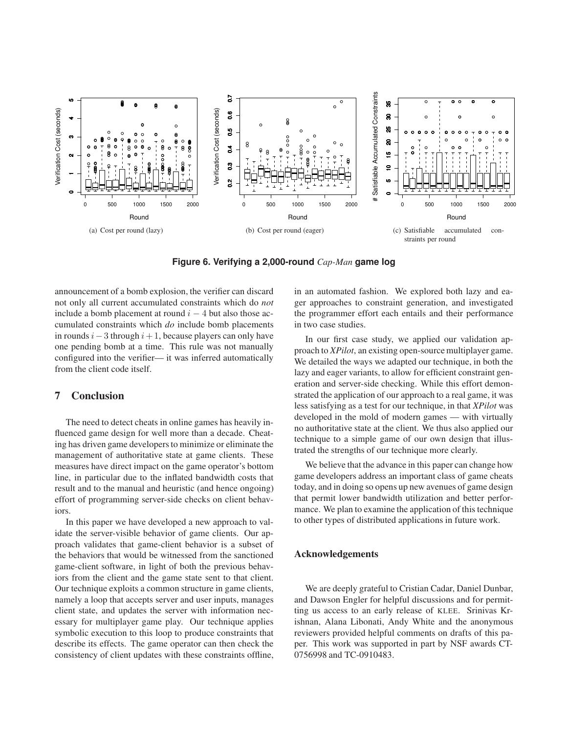

**Figure 6. Verifying a 2,000-round** *Cap-Man* **game log**

announcement of a bomb explosion, the verifier can discard not only all current accumulated constraints which do *not* include a bomb placement at round  $i - 4$  but also those accumulated constraints which *do* include bomb placements in rounds  $i-3$  through  $i+1$ , because players can only have one pending bomb at a time. This rule was not manually configured into the verifier— it was inferred automatically from the client code itself.

# **7 Conclusion**

The need to detect cheats in online games has heavily influenced game design for well more than a decade. Cheating has driven game developers to minimize or eliminate the management of authoritative state at game clients. These measures have direct impact on the game operator's bottom line, in particular due to the inflated bandwidth costs that result and to the manual and heuristic (and hence ongoing) effort of programming server-side checks on client behaviors.

In this paper we have developed a new approach to validate the server-visible behavior of game clients. Our approach validates that game-client behavior is a subset of the behaviors that would be witnessed from the sanctioned game-client software, in light of both the previous behaviors from the client and the game state sent to that client. Our technique exploits a common structure in game clients, namely a loop that accepts server and user inputs, manages client state, and updates the server with information necessary for multiplayer game play. Our technique applies symbolic execution to this loop to produce constraints that describe its effects. The game operator can then check the consistency of client updates with these constraints offline, in an automated fashion. We explored both lazy and eager approaches to constraint generation, and investigated the programmer effort each entails and their performance in two case studies.

In our first case study, we applied our validation approach to *XPilot*, an existing open-source multiplayer game. We detailed the ways we adapted our technique, in both the lazy and eager variants, to allow for efficient constraint generation and server-side checking. While this effort demonstrated the application of our approach to a real game, it was less satisfying as a test for our technique, in that *XPilot* was developed in the mold of modern games — with virtually no authoritative state at the client. We thus also applied our technique to a simple game of our own design that illustrated the strengths of our technique more clearly.

We believe that the advance in this paper can change how game developers address an important class of game cheats today, and in doing so opens up new avenues of game design that permit lower bandwidth utilization and better performance. We plan to examine the application of this technique to other types of distributed applications in future work.

### **Acknowledgements**

We are deeply grateful to Cristian Cadar, Daniel Dunbar, and Dawson Engler for helpful discussions and for permitting us access to an early release of KLEE. Srinivas Krishnan, Alana Libonati, Andy White and the anonymous reviewers provided helpful comments on drafts of this paper. This work was supported in part by NSF awards CT-0756998 and TC-0910483.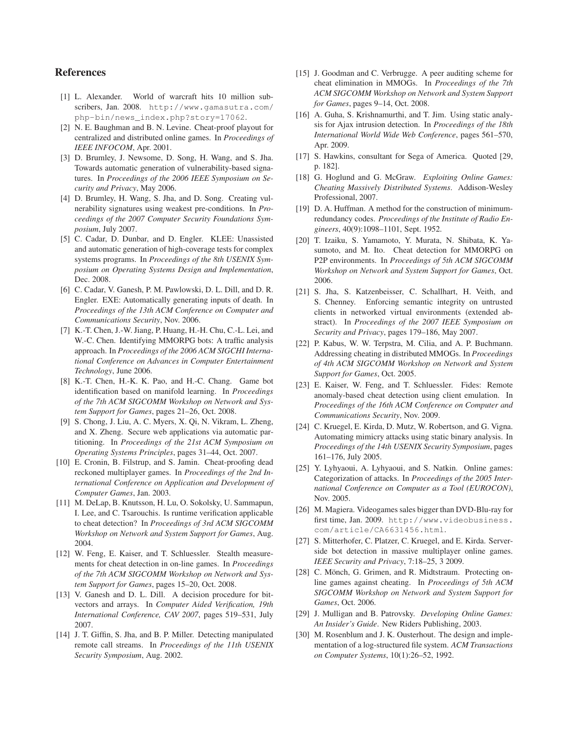## **References**

- [1] L. Alexander. World of warcraft hits 10 million subscribers, Jan. 2008. http://www.gamasutra.com/ php-bin/news\_index.php?story=17062.
- [2] N. E. Baughman and B. N. Levine. Cheat-proof playout for centralized and distributed online games. In *Proceedings of IEEE INFOCOM*, Apr. 2001.
- [3] D. Brumley, J. Newsome, D. Song, H. Wang, and S. Jha. Towards automatic generation of vulnerability-based signatures. In *Proceedings of the 2006 IEEE Symposium on Security and Privacy*, May 2006.
- [4] D. Brumley, H. Wang, S. Jha, and D. Song. Creating vulnerability signatures using weakest pre-conditions. In *Proceedings of the 2007 Computer Security Foundations Symposium*, July 2007.
- [5] C. Cadar, D. Dunbar, and D. Engler. KLEE: Unassisted and automatic generation of high-coverage tests for complex systems programs. In *Proceedings of the 8th USENIX Symposium on Operating Systems Design and Implementation*, Dec. 2008.
- [6] C. Cadar, V. Ganesh, P. M. Pawlowski, D. L. Dill, and D. R. Engler. EXE: Automatically generating inputs of death. In *Proceedings of the 13th ACM Conference on Computer and Communications Security*, Nov. 2006.
- [7] K.-T. Chen, J.-W. Jiang, P. Huang, H.-H. Chu, C.-L. Lei, and W.-C. Chen. Identifying MMORPG bots: A traffic analysis approach. In *Proceedings of the 2006 ACM SIGCHI International Conference on Advances in Computer Entertainment Technology*, June 2006.
- [8] K.-T. Chen, H.-K. K. Pao, and H.-C. Chang. Game bot identification based on manifold learning. In *Proceedings of the 7th ACM SIGCOMM Workshop on Network and System Support for Games*, pages 21–26, Oct. 2008.
- [9] S. Chong, J. Liu, A. C. Myers, X. Qi, N. Vikram, L. Zheng, and X. Zheng. Secure web applications via automatic partitioning. In *Proceedings of the 21st ACM Symposium on Operating Systems Principles*, pages 31–44, Oct. 2007.
- [10] E. Cronin, B. Filstrup, and S. Jamin. Cheat-proofing dead reckoned multiplayer games. In *Proceedings of the 2nd International Conference on Application and Development of Computer Games*, Jan. 2003.
- [11] M. DeLap, B. Knutsson, H. Lu, O. Sokolsky, U. Sammapun, I. Lee, and C. Tsarouchis. Is runtime verification applicable to cheat detection? In *Proceedings of 3rd ACM SIGCOMM Workshop on Network and System Support for Games*, Aug. 2004.
- [12] W. Feng, E. Kaiser, and T. Schluessler. Stealth measurements for cheat detection in on-line games. In *Proceedings of the 7th ACM SIGCOMM Workshop on Network and System Support for Games*, pages 15–20, Oct. 2008.
- [13] V. Ganesh and D. L. Dill. A decision procedure for bitvectors and arrays. In *Computer Aided Verification, 19th International Conference, CAV 2007*, pages 519–531, July 2007.
- [14] J. T. Giffin, S. Jha, and B. P. Miller. Detecting manipulated remote call streams. In *Proceedings of the 11th USENIX Security Symposium*, Aug. 2002.
- [15] J. Goodman and C. Verbrugge. A peer auditing scheme for cheat elimination in MMOGs. In *Proceedings of the 7th ACM SIGCOMM Workshop on Network and System Support for Games*, pages 9–14, Oct. 2008.
- [16] A. Guha, S. Krishnamurthi, and T. Jim. Using static analysis for Ajax intrusion detection. In *Proceedings of the 18th International World Wide Web Conference*, pages 561–570, Apr. 2009.
- [17] S. Hawkins, consultant for Sega of America. Quoted [29, p. 182].
- [18] G. Hoglund and G. McGraw. *Exploiting Online Games: Cheating Massively Distributed Systems*. Addison-Wesley Professional, 2007.
- [19] D. A. Huffman. A method for the construction of minimumredundancy codes. *Proceedings of the Institute of Radio Engineers*, 40(9):1098–1101, Sept. 1952.
- [20] T. Izaiku, S. Yamamoto, Y. Murata, N. Shibata, K. Yasumoto, and M. Ito. Cheat detection for MMORPG on P2P environments. In *Proceedings of 5th ACM SIGCOMM Workshop on Network and System Support for Games*, Oct. 2006.
- [21] S. Jha, S. Katzenbeisser, C. Schallhart, H. Veith, and S. Chenney. Enforcing semantic integrity on untrusted clients in networked virtual environments (extended abstract). In *Proceedings of the 2007 IEEE Symposium on Security and Privacy*, pages 179–186, May 2007.
- [22] P. Kabus, W. W. Terpstra, M. Cilia, and A. P. Buchmann. Addressing cheating in distributed MMOGs. In *Proceedings of 4th ACM SIGCOMM Workshop on Network and System Support for Games*, Oct. 2005.
- [23] E. Kaiser, W. Feng, and T. Schluessler. Fides: Remote anomaly-based cheat detection using client emulation. In *Proceedings of the 16th ACM Conference on Computer and Communications Security*, Nov. 2009.
- [24] C. Kruegel, E. Kirda, D. Mutz, W. Robertson, and G. Vigna. Automating mimicry attacks using static binary analysis. In *Proceedings of the 14th USENIX Security Symposium*, pages 161–176, July 2005.
- [25] Y. Lyhyaoui, A. Lyhyaoui, and S. Natkin. Online games: Categorization of attacks. In *Proceedings of the 2005 International Conference on Computer as a Tool (EUROCON)*, Nov. 2005.
- [26] M. Magiera. Videogames sales bigger than DVD-Blu-ray for first time, Jan. 2009. http://www.videobusiness. com/article/CA6631456.html.
- [27] S. Mitterhofer, C. Platzer, C. Kruegel, and E. Kirda. Serverside bot detection in massive multiplayer online games. *IEEE Security and Privacy*, 7:18–25, 3 2009.
- [28] C. Mönch, G. Grimen, and R. Midtstraum. Protecting online games against cheating. In *Proceedings of 5th ACM SIGCOMM Workshop on Network and System Support for Games*, Oct. 2006.
- [29] J. Mulligan and B. Patrovsky. *Developing Online Games: An Insider's Guide*. New Riders Publishing, 2003.
- [30] M. Rosenblum and J. K. Ousterhout. The design and implementation of a log-structured file system. *ACM Transactions on Computer Systems*, 10(1):26–52, 1992.